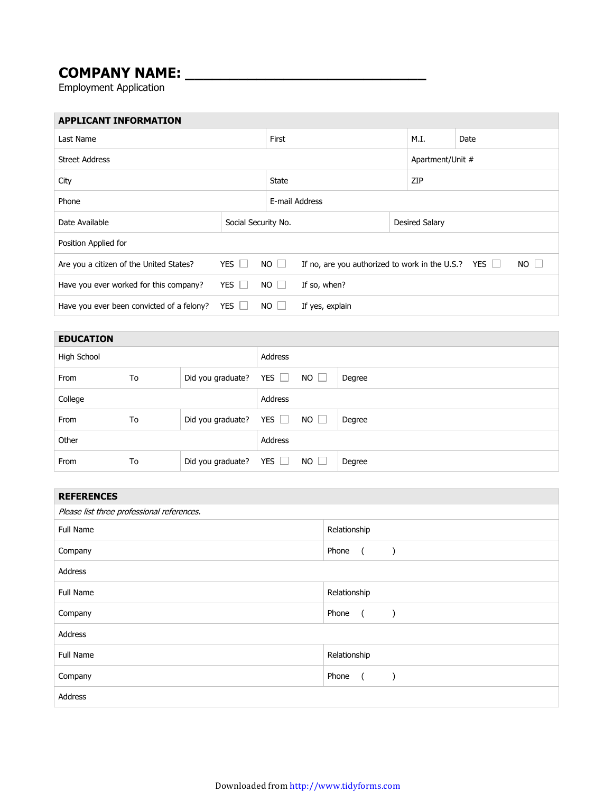## **COMPANY NAME: \_\_\_\_\_\_\_\_\_\_\_\_\_\_\_\_\_\_\_\_\_\_\_\_\_\_\_**

Employment Application

| <b>APPLICANT INFORMATION</b>              |                     |      |                                                           |                  |      |    |  |
|-------------------------------------------|---------------------|------|-----------------------------------------------------------|------------------|------|----|--|
| Last Name                                 |                     |      |                                                           | M.I.             | Date |    |  |
| <b>Street Address</b>                     |                     |      |                                                           | Apartment/Unit # |      |    |  |
| City                                      |                     |      | State                                                     |                  | ZIP  |    |  |
| Phone                                     |                     |      | E-mail Address                                            |                  |      |    |  |
| Date Available                            | Social Security No. |      | Desired Salary                                            |                  |      |    |  |
| Position Applied for                      |                     |      |                                                           |                  |      |    |  |
| Are you a citizen of the United States?   | YES                 | NO   | If no, are you authorized to work in the U.S.? YES $\Box$ |                  |      | NO |  |
| Have you ever worked for this company?    | YES                 | $NO$ | If so, when?                                              |                  |      |    |  |
| Have you ever been convicted of a felony? | YES L               | NO . | If yes, explain                                           |                  |      |    |  |

| <b>EDUCATION</b> |    |                   |            |             |        |
|------------------|----|-------------------|------------|-------------|--------|
| High School      |    |                   | Address    |             |        |
| From             | To | Did you graduate? | YES $\Box$ | $NO$ $\Box$ | Degree |
| College          |    |                   | Address    |             |        |
| From             | To | Did you graduate? | YES $\Box$ | $NO$ $\Box$ | Degree |
| Other            |    |                   | Address    |             |        |
| From             | To | Did you graduate? | YES $\Box$ | $NO$ $\Box$ | Degree |

| <b>REFERENCES</b>                          |                                                                           |  |  |  |
|--------------------------------------------|---------------------------------------------------------------------------|--|--|--|
| Please list three professional references. |                                                                           |  |  |  |
| Full Name                                  | Relationship                                                              |  |  |  |
| Company                                    | Phone<br>$\sqrt{2}$<br>$\rightarrow$                                      |  |  |  |
| Address                                    |                                                                           |  |  |  |
| Full Name                                  | Relationship                                                              |  |  |  |
| Company                                    | Phone<br>$\overline{a}$<br>$\left( \begin{array}{cc} \end{array} \right)$ |  |  |  |
| Address                                    |                                                                           |  |  |  |
| Full Name                                  | Relationship                                                              |  |  |  |
| Company                                    | Phone<br>$\sqrt{2}$                                                       |  |  |  |
| Address                                    |                                                                           |  |  |  |